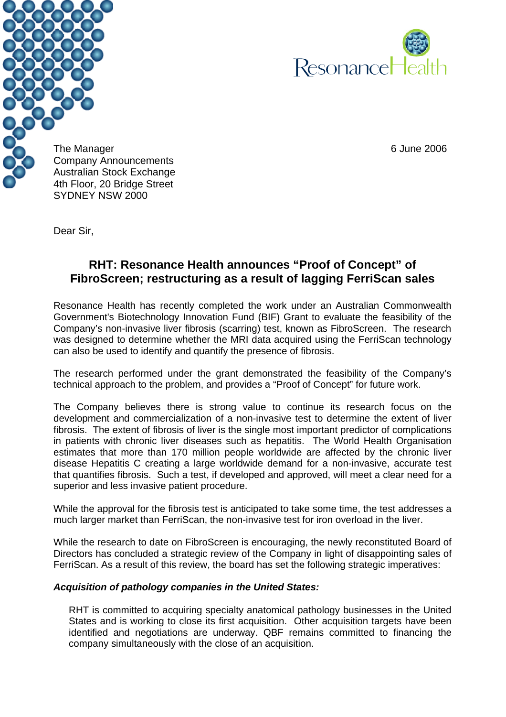



The Manager 6 June 2006 Company Announcements Australian Stock Exchange 4th Floor, 20 Bridge Street SYDNEY NSW 2000

Dear Sir,

## **RHT: Resonance Health announces "Proof of Concept" of FibroScreen; restructuring as a result of lagging FerriScan sales**

Resonance Health has recently completed the work under an Australian Commonwealth Government's Biotechnology Innovation Fund (BIF) Grant to evaluate the feasibility of the Company's non-invasive liver fibrosis (scarring) test, known as FibroScreen. The research was designed to determine whether the MRI data acquired using the FerriScan technology can also be used to identify and quantify the presence of fibrosis.

The research performed under the grant demonstrated the feasibility of the Company's technical approach to the problem, and provides a "Proof of Concept" for future work.

The Company believes there is strong value to continue its research focus on the development and commercialization of a non-invasive test to determine the extent of liver fibrosis. The extent of fibrosis of liver is the single most important predictor of complications in patients with chronic liver diseases such as hepatitis. The World Health Organisation estimates that more than 170 million people worldwide are affected by the chronic liver disease Hepatitis C creating a large worldwide demand for a non-invasive, accurate test that quantifies fibrosis. Such a test, if developed and approved, will meet a clear need for a superior and less invasive patient procedure.

While the approval for the fibrosis test is anticipated to take some time, the test addresses a much larger market than FerriScan, the non-invasive test for iron overload in the liver.

While the research to date on FibroScreen is encouraging, the newly reconstituted Board of Directors has concluded a strategic review of the Company in light of disappointing sales of FerriScan. As a result of this review, the board has set the following strategic imperatives:

## *Acquisition of pathology companies in the United States:*

RHT is committed to acquiring specialty anatomical pathology businesses in the United States and is working to close its first acquisition. Other acquisition targets have been identified and negotiations are underway. QBF remains committed to financing the company simultaneously with the close of an acquisition.